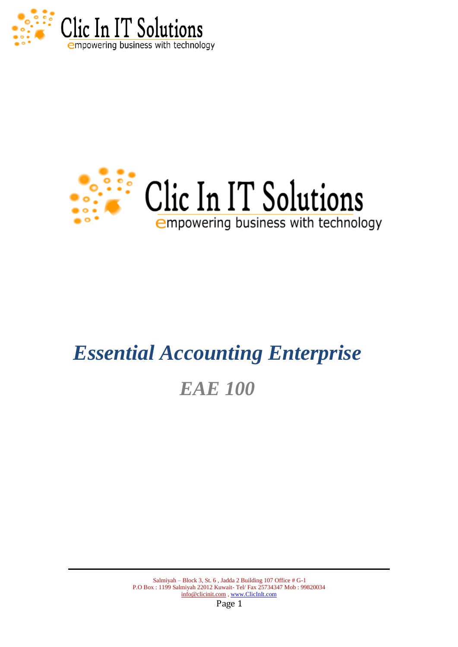



# *Essential Accounting Enterprise EAE 100*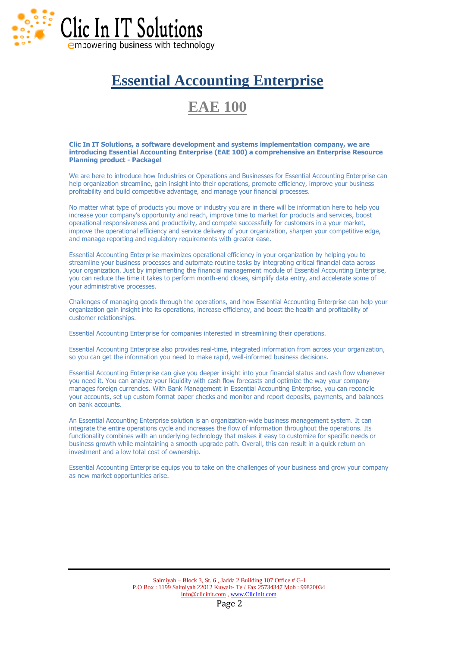

# **Essential Accounting Enterprise**

# **EAE 100**

#### **Clic In IT Solutions, a software development and systems implementation company, we are introducing Essential Accounting Enterprise (EAE 100) a comprehensive an Enterprise Resource Planning product - Package!**

We are here to introduce how Industries or Operations and Businesses for Essential Accounting Enterprise can help organization streamline, gain insight into their operations, promote efficiency, improve your business profitability and build competitive advantage, and manage your financial processes.

No matter what type of products you move or industry you are in there will be information here to help you increase your company's opportunity and reach, improve time to market for products and services, boost operational responsiveness and productivity, and compete successfully for customers in a your market, improve the operational efficiency and service delivery of your organization, sharpen your competitive edge, and manage reporting and regulatory requirements with greater ease.

Essential Accounting Enterprise maximizes operational efficiency in your organization by helping you to streamline your business processes and automate routine tasks by integrating critical financial data across your organization. Just by implementing the financial management module of Essential Accounting Enterprise, you can reduce the time it takes to perform month-end closes, simplify data entry, and accelerate some of your administrative processes.

Challenges of managing goods through the operations, and how Essential Accounting Enterprise can help your organization gain insight into its operations, increase efficiency, and boost the health and profitability of customer relationships.

Essential Accounting Enterprise for companies interested in streamlining their operations.

Essential Accounting Enterprise also provides real-time, integrated information from across your organization, so you can get the information you need to make rapid, well-informed business decisions.

Essential Accounting Enterprise can give you deeper insight into your financial status and cash flow whenever you need it. You can analyze your liquidity with cash flow forecasts and optimize the way your company manages foreign currencies. With Bank Management in Essential Accounting Enterprise, you can reconcile your accounts, set up custom format paper checks and monitor and report deposits, payments, and balances on bank accounts.

An Essential Accounting Enterprise solution is an organization-wide business management system. It can integrate the entire operations cycle and increases the flow of information throughout the operations. Its functionality combines with an underlying technology that makes it easy to customize for specific needs or business growth while maintaining a smooth upgrade path. Overall, this can result in a quick return on investment and a low total cost of ownership.

Essential Accounting Enterprise equips you to take on the challenges of your business and grow your company as new market opportunities arise.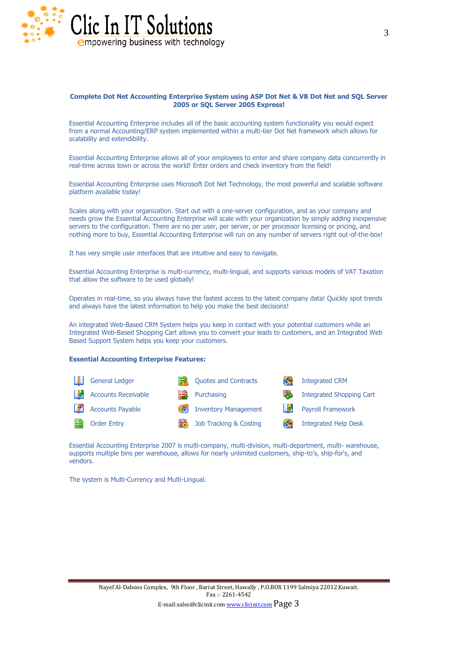

#### **Complete Dot Net Accounting Enterprise System using ASP Dot Net & VB Dot Net and SQL Server 2005 or SQL Server 2005 Express!**

Essential Accounting Enterprise includes all of the basic accounting system functionality you would expect from a normal Accounting/ERP system implemented within a multi-tier Dot Net framework which allows for scalability and extendibility.

Essential Accounting Enterprise allows all of your employees to enter and share company data concurrently in real-time across town or across the world! Enter orders and check inventory from the field!

Essential Accounting Enterprise uses Microsoft Dot Net Technology, the most powerful and scalable software platform available today!

Scales along with your organization. Start out with a one-server configuration, and as your company and needs grow the Essential Accounting Enterprise will scale with your organization by simply adding inexpensive servers to the configuration. There are no per user, per server, or per processor licensing or pricing, and nothing more to buy, Essential Accounting Enterprise will run on any number of servers right out-of-the-box!

It has very simple user interfaces that are intuitive and easy to navigate.

Essential Accounting Enterprise is multi-currency, multi-lingual, and supports various models of VAT Taxation that allow the software to be used globally!

Operates in real-time, so you always have the fastest access to the latest company data! Quickly spot trends and always have the latest information to help you make the best decisions!

An integrated Web-Based CRM System helps you keep in contact with your potential customers while an Integrated Web-Based Shopping Cart allows you to convert your leads to customers, and an Integrated Web Based Support System helps you keep your customers.

#### **Essential Accounting Enterprise Features:**



Essential Accounting Enterprise 2007 is multi-company, multi-division, multi-department, multi- warehouse, supports multiple bins per warehouse, allows for nearly unlimited customers, ship-to's, ship-for's, and vendors.

The system is Multi-Currency and Multi-Lingual.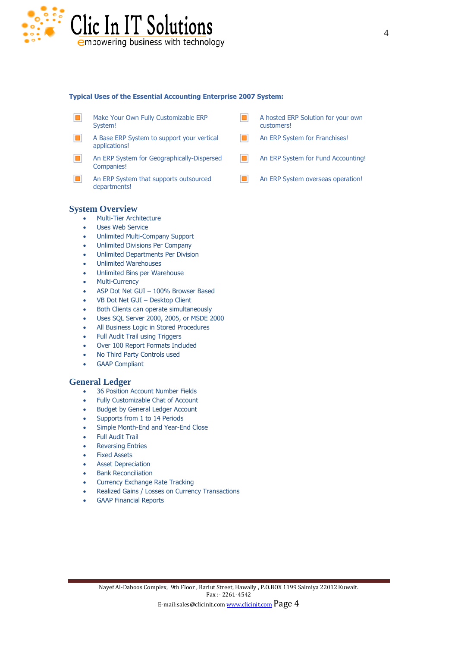

#### **Typical Uses of the Essential Accounting Enterprise 2007 System:**

- $\Box$ Make Your Own Fully Customizable ERP System!
- $\blacksquare$ A Base ERP System to support your vertical applications!
- $\blacksquare$ An ERP System for Geographically-Dispersed Companies!
- $\blacksquare$ An ERP System that supports outsourced departments!
- A hosted ERP Solution for your own n customers!
- An ERP System for Franchises!  $\blacksquare$
- $\blacksquare$ An ERP System for Fund Accounting!
- $\blacksquare$ An ERP System overseas operation!

# **System Overview**

- Multi-Tier Architecture
- Uses Web Service
- Unlimited Multi-Company Support
- Unlimited Divisions Per Company
- Unlimited Departments Per Division
- Unlimited Warehouses
- Unlimited Bins per Warehouse
- Multi-Currency
- ASP Dot Net GUI 100% Browser Based
- VB Dot Net GUI Desktop Client
- Both Clients can operate simultaneously
- Uses SQL Server 2000, 2005, or MSDE 2000
- All Business Logic in Stored Procedures
- Full Audit Trail using Triggers
- Over 100 Report Formats Included
- No Third Party Controls used
- GAAP Compliant

# **General Ledger**

- 36 Position Account Number Fields
- Fully Customizable Chat of Account
- Budget by General Ledger Account
- Supports from 1 to 14 Periods
- Simple Month-End and Year-End Close
- Full Audit Trail
- Reversing Entries
- Fixed Assets
- Asset Depreciation
- Bank Reconciliation
- Currency Exchange Rate Tracking
- Realized Gains / Losses on Currency Transactions
- GAAP Financial Reports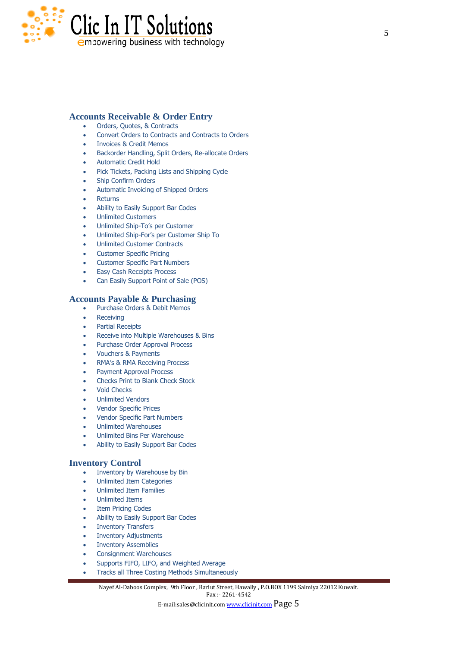

# **Accounts Receivable & Order Entry**

- Orders, Quotes, & Contracts
- Convert Orders to Contracts and Contracts to Orders
- Invoices & Credit Memos
- Backorder Handling, Split Orders, Re-allocate Orders
- Automatic Credit Hold
- Pick Tickets, Packing Lists and Shipping Cycle
- Ship Confirm Orders
- Automatic Invoicing of Shipped Orders
- Returns
- Ability to Easily Support Bar Codes
- Unlimited Customers
- Unlimited Ship-To's per Customer
- Unlimited Ship-For's per Customer Ship To
- Unlimited Customer Contracts
- Customer Specific Pricing
- Customer Specific Part Numbers
- Easy Cash Receipts Process
- Can Easily Support Point of Sale (POS)

# **Accounts Payable & Purchasing**

- Purchase Orders & Debit Memos
- Receiving
- Partial Receipts
- Receive into Multiple Warehouses & Bins
- Purchase Order Approval Process
- Vouchers & Payments
- RMA's & RMA Receiving Process
- Payment Approval Process
- Checks Print to Blank Check Stock
- Void Checks
- Unlimited Vendors
- Vendor Specific Prices
- Vendor Specific Part Numbers
- Unlimited Warehouses
- Unlimited Bins Per Warehouse
- Ability to Easily Support Bar Codes

# **Inventory Control**

- Inventory by Warehouse by Bin
- Unlimited Item Categories
- Unlimited Item Families
- Unlimited Items
- Item Pricing Codes
- Ability to Easily Support Bar Codes
- Inventory Transfers
- Inventory Adjustments
- Inventory Assemblies
- Consignment Warehouses
- Supports FIFO, LIFO, and Weighted Average
- Tracks all Three Costing Methods Simultaneously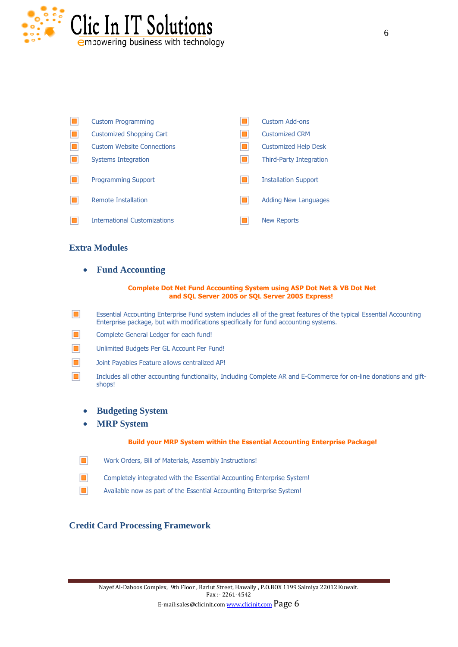

| <b>Custom Programming</b>           |              | Custom Add-ons                 |
|-------------------------------------|--------------|--------------------------------|
| <b>Customized Shopping Cart</b>     | $\Box$       | <b>Customized CRM</b>          |
| <b>Custom Website Connections</b>   | п            | <b>Customized Help Desk</b>    |
| Systems Integration                 | п            | <b>Third-Party Integration</b> |
| <b>Programming Support</b>          | $\mathbf{r}$ | <b>Installation Support</b>    |
| Remote Installation                 |              | <b>Adding New Languages</b>    |
| <b>International Customizations</b> |              | <b>New Reports</b>             |

# **Extra Modules**

**Fund Accounting**

#### **Complete Dot Net Fund Accounting System using ASP Dot Net & VB Dot Net and SQL Server 2005 or SQL Server 2005 Express!**

- $\blacksquare$ Essential Accounting Enterprise Fund system includes all of the great features of the typical Essential Accounting Enterprise package, but with modifications specifically for fund accounting systems.
- $\Box$ Complete General Ledger for each fund!
- $\Box$ Unlimited Budgets Per GL Account Per Fund!
- $\Box$ Joint Payables Feature allows centralized AP!
- $\blacksquare$ Includes all other accounting functionality, Including Complete AR and E-Commerce for on-line donations and giftshops!
	- **Budgeting System**
	- **MRP System**

# **Build your MRP System within the Essential Accounting Enterprise Package!**

- $\blacksquare$ Work Orders, Bill of Materials, Assembly Instructions!
- $\blacksquare$ Completely integrated with the Essential Accounting Enterprise System!
- $\Box$ Available now as part of the Essential Accounting Enterprise System!

# **Credit Card Processing Framework**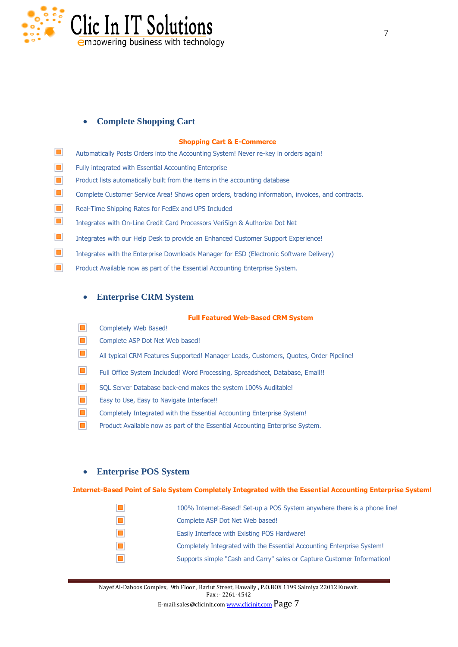

# **Complete Shopping Cart**

#### **Shopping Cart & E-Commerce**

- $\Box$ Automatically Posts Orders into the Accounting System! Never re-key in orders again!
- $\blacksquare$ Fully integrated with Essential Accounting Enterprise
- $\Box$ Product lists automatically built from the items in the accounting database
- $\Box$ Complete Customer Service Area! Shows open orders, tracking information, invoices, and contracts.
- $\blacksquare$ Real-Time Shipping Rates for FedEx and UPS Included
- $\Box$ Integrates with On-Line Credit Card Processors VeriSign & Authorize Dot Net
- $\blacksquare$ Integrates with our Help Desk to provide an Enhanced Customer Support Experience!
- $\Box$ Integrates with the Enterprise Downloads Manager for ESD (Electronic Software Delivery)
- $\Box$ Product Available now as part of the Essential Accounting Enterprise System.

# **Enterprise CRM System**

#### **Full Featured Web-Based CRM System**

- $\blacksquare$ Completely Web Based!
- $\blacksquare$ Complete ASP Dot Net Web based!
- $\blacksquare$ All typical CRM Features Supported! Manager Leads, Customers, Quotes, Order Pipeline!
- $\blacksquare$ Full Office System Included! Word Processing, Spreadsheet, Database, Email!!
- $\blacksquare$ SQL Server Database back-end makes the system 100% Auditable!
- $\blacksquare$ Easy to Use, Easy to Navigate Interface!!
- $\Box$ Completely Integrated with the Essential Accounting Enterprise System!
- $\Box$ Product Available now as part of the Essential Accounting Enterprise System.

# **Enterprise POS System**

# **Internet-Based Point of Sale System Completely Integrated with the Essential Accounting Enterprise System!**

 $\Box$ 100% Internet-Based! Set-up a POS System anywhere there is a phone line!  $\Box$ Complete ASP Dot Net Web based!  $\Box$ Easily Interface with Existing POS Hardware!  $\Box$ Completely Integrated with the Essential Accounting Enterprise System!  $\blacksquare$ Supports simple "Cash and Carry" sales or Capture Customer Information!

Nayef Al-Daboos Complex, 9th Floor , Bariut Street, Hawally , P.O.BOX 1199 Salmiya 22012 Kuwait. Fax :- 2261-4542

E-mail:sales@clicinit.com www.clicinit.com Page 7